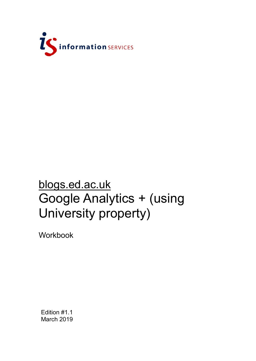

# blogs.ed.ac.uk Google Analytics + (using University property)

Workbook

Edition #1.1 March 2019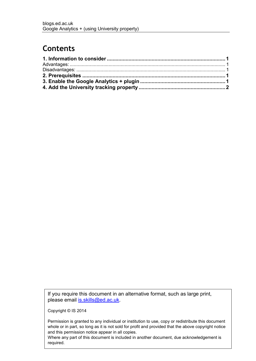### **Contents**

If you require this document in an alternative format, such as large print, please email is skills@ed.ac.uk.

Copyright © IS 2014

Permission is granted to any individual or institution to use, copy or redistribute this document whole or in part, so long as it is not sold for profit and provided that the above copyright notice and this permission notice appear in all copies.

Where any part of this document is included in another document, due acknowledgement is required.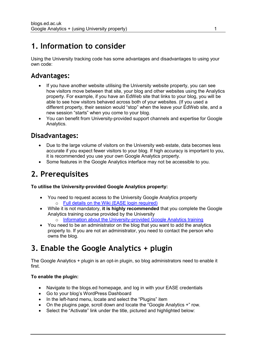### <span id="page-3-0"></span>**1. Information to consider**

Using the University tracking code has some advantages and disadvantages to using your own code:

### <span id="page-3-1"></span>**Advantages:**

- If you have another website utilising the University website property, you can see how visitors move between that site, your blog and other websites using the Analytics property. For example, if you have an EdWeb site that links to your blog, you will be able to see how visitors behaved across both of your websites. (If you used a different property, their session would "stop" when the leave your EdWeb site, and a new session "starts" when you come to your blog.
- You can benefit from University-provided support channels and expertise for Google Analytics.

### <span id="page-3-2"></span>**Disadvantages:**

- Due to the large volume of visitors on the University web estate, data becomes less accurate if you expect fewer visitors to your blog. If high accuracy is important to you, it is recommended you use your own Google Analytics property.
- Some features in the Google Analytics interface may not be accessible to you.

# <span id="page-3-3"></span>**2. Prerequisites**

#### **To utilise the University-provided Google Analytics property:**

- You need to request access to the University Google Analytics property o [Full details on the Wiki \(EASE login required\)](https://www.wiki.ed.ac.uk/pages/viewpage.action?spaceKey=UWP&title=University+web+stats+with+Google+Analytics)
- While it is not mandatory, **it is highly recommended** that you complete the Google Analytics training course provided by the University
	- o [Information about the University-provided Google Analytics training](https://www.ed.ac.uk/information-services/website-publishing/training-support/courses/google-analytics)
- You need to be an administrator on the blog that you want to add the analytics property to. If you are not an administrator, you need to contact the person who owns the blog.

# <span id="page-3-4"></span>**3. Enable the Google Analytics + plugin**

The Google Analytics + plugin is an opt-in plugin, so blog administrators need to enable it first.

#### **To enable the plugin:**

- Navigate to the blogs.ed homepage, and log in with your EASE credentials
- Go to your blog's WordPress Dashboard
- In the left-hand menu, locate and select the "Plugins" item
- On the plugins page, scroll down and locate the "Google Analytics +" row.
- Select the "Activate" link under the title, pictured and highlighted below: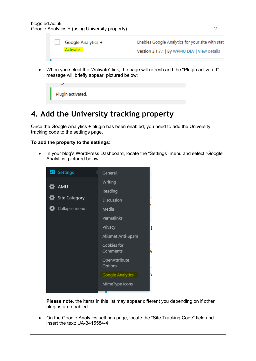- Enables Google Analytics for your site with stat Google Analytics + Activate Version 3.1.7.1 | By WPMU DEV | View details
- When you select the "Activate" link, the page will refresh and the "Plugin activated" message will briefly appear, pictured below:



### <span id="page-4-0"></span>**4. Add the University tracking property**

Once the Google Analytics + plugin has been enabled, you need to add the University tracking code to the settings page.

#### **To add the property to the settings:**

• In your blog's WordPress Dashboard, locate the "Settings" menu and select "Google Analytics, pictured below:



**Please note**, the items in this list may appear different you depending on if other plugins are enabled.

 On the Google Analytics settings page, locate the "Site Tracking Code" field and insert the text: UA-3415584-4